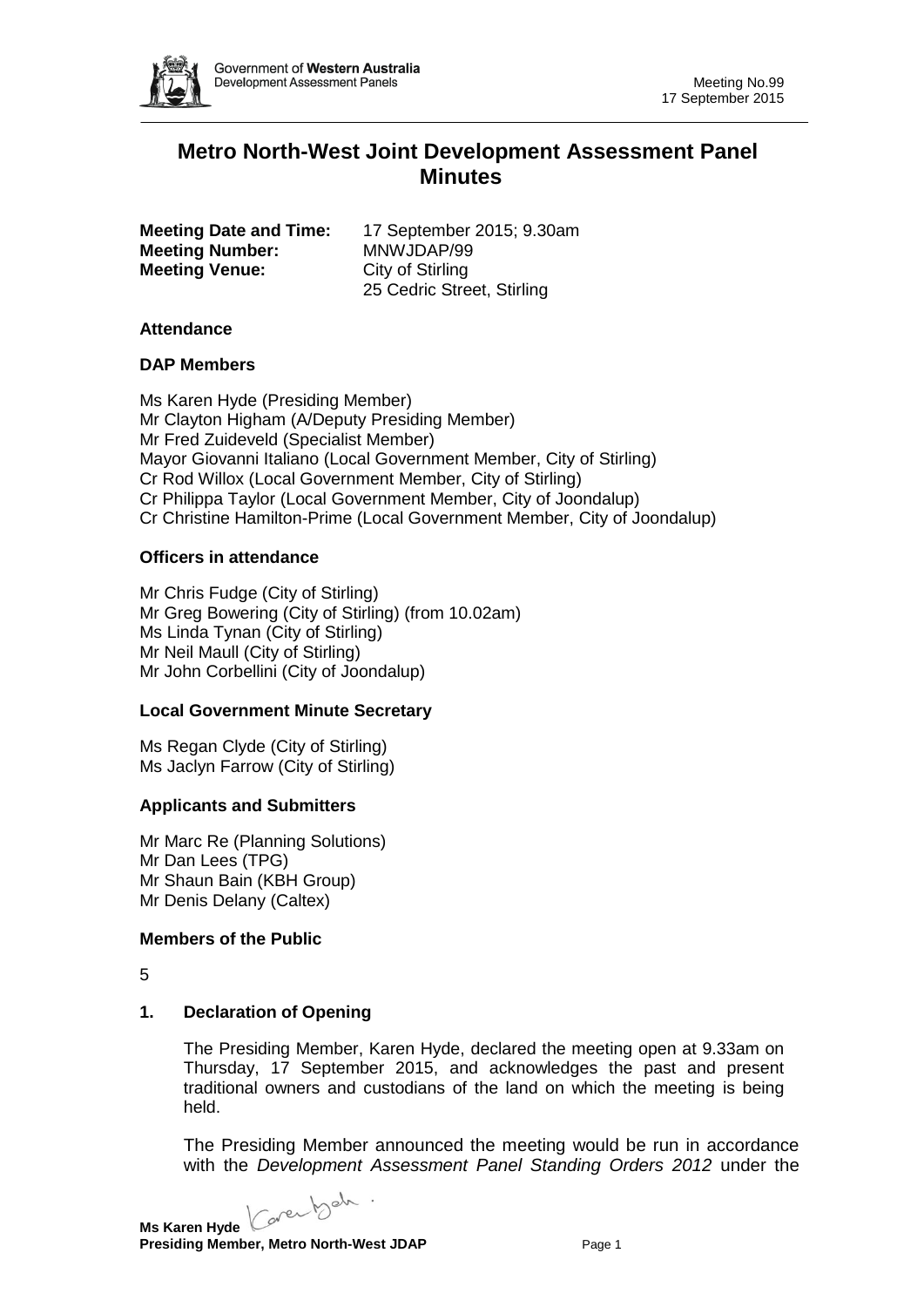

# **Metro North-West Joint Development Assessment Panel Minutes**

|                       | <b>Meeting Date and Time:</b> |  |
|-----------------------|-------------------------------|--|
|                       | <b>Meeting Number:</b>        |  |
| <b>Meeting Venue:</b> |                               |  |

**Meeting Date and Time:** 17 September 2015; 9.30am **Meeting Number:** MNWJDAP/99 **City of Stirling** 25 Cedric Street, Stirling

### **Attendance**

## **DAP Members**

Ms Karen Hyde (Presiding Member) Mr Clayton Higham (A/Deputy Presiding Member) Mr Fred Zuideveld (Specialist Member) Mayor Giovanni Italiano (Local Government Member, City of Stirling) Cr Rod Willox (Local Government Member, City of Stirling) Cr Philippa Taylor (Local Government Member, City of Joondalup) Cr Christine Hamilton-Prime (Local Government Member, City of Joondalup)

## **Officers in attendance**

Mr Chris Fudge (City of Stirling) Mr Greg Bowering (City of Stirling) (from 10.02am) Ms Linda Tynan (City of Stirling) Mr Neil Maull (City of Stirling) Mr John Corbellini (City of Joondalup)

## **Local Government Minute Secretary**

Ms Regan Clyde (City of Stirling) Ms Jaclyn Farrow (City of Stirling)

## **Applicants and Submitters**

Mr Marc Re (Planning Solutions) Mr Dan Lees (TPG) Mr Shaun Bain (KBH Group) Mr Denis Delany (Caltex)

## **Members of the Public**

5

## **1. Declaration of Opening**

The Presiding Member, Karen Hyde, declared the meeting open at 9.33am on Thursday, 17 September 2015, and acknowledges the past and present traditional owners and custodians of the land on which the meeting is being held.

The Presiding Member announced the meeting would be run in accordance with the *Development Assessment Panel Standing Orders 2012* under the

Caren beh **Ms Karen Hyde**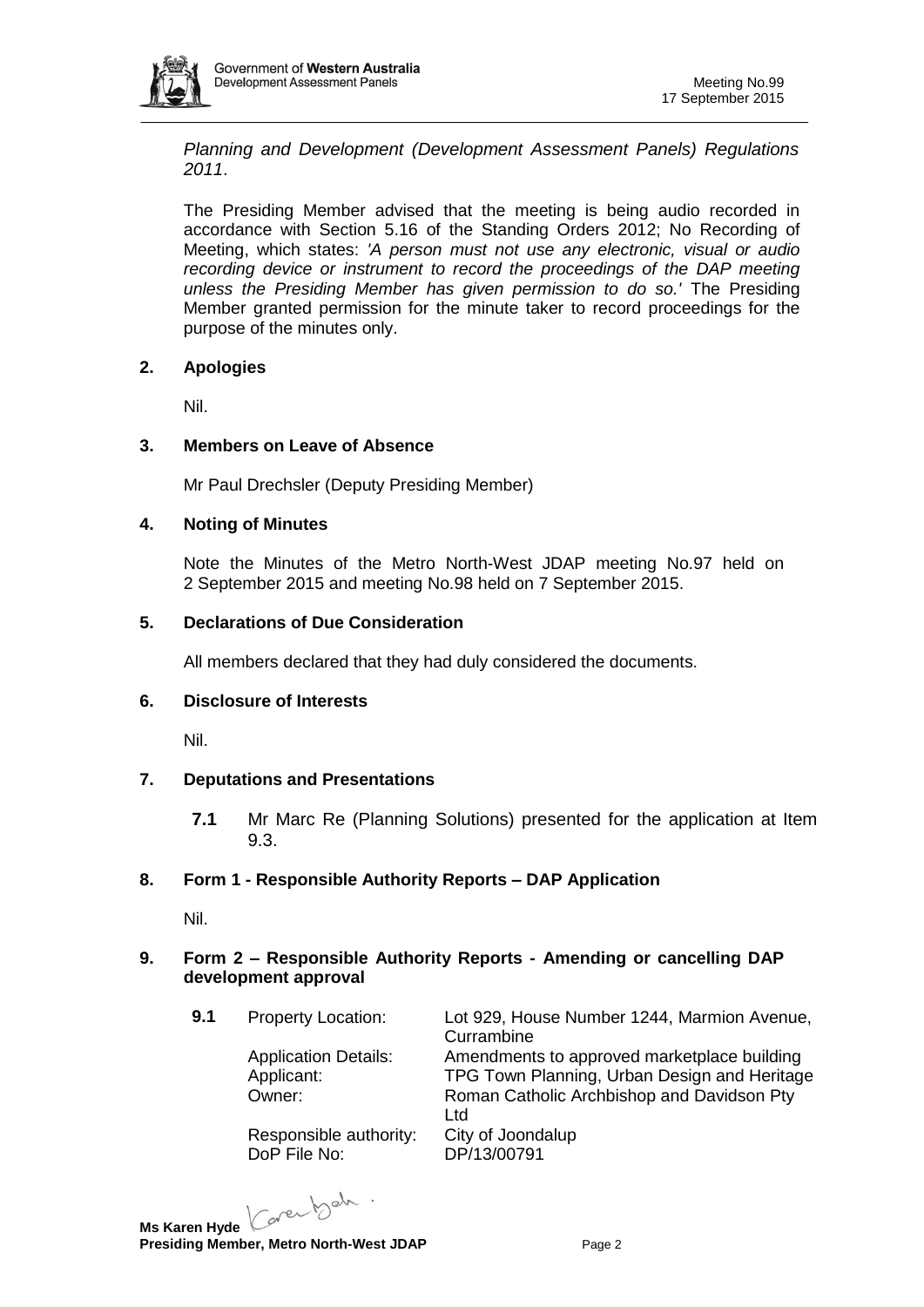

*Planning and Development (Development Assessment Panels) Regulations 2011*.

The Presiding Member advised that the meeting is being audio recorded in accordance with Section 5.16 of the Standing Orders 2012; No Recording of Meeting, which states: *'A person must not use any electronic, visual or audio recording device or instrument to record the proceedings of the DAP meeting unless the Presiding Member has given permission to do so.'* The Presiding Member granted permission for the minute taker to record proceedings for the purpose of the minutes only.

## **2. Apologies**

Nil.

## **3. Members on Leave of Absence**

Mr Paul Drechsler (Deputy Presiding Member)

## **4. Noting of Minutes**

Note the Minutes of the Metro North-West JDAP meeting No.97 held on 2 September 2015 and meeting No.98 held on 7 September 2015.

## **5. Declarations of Due Consideration**

All members declared that they had duly considered the documents.

## **6. Disclosure of Interests**

Nil.

## **7. Deputations and Presentations**

**7.1** Mr Marc Re (Planning Solutions) presented for the application at Item 9.3.

## **8. Form 1 - Responsible Authority Reports – DAP Application**

Nil.

## **9. Form 2 – Responsible Authority Reports - Amending or cancelling DAP development approval**

Responsible authority: City of Joondalup DoP File No: DP/13/00791

**9.1** Property Location: Lot 929, House Number 1244, Marmion Avenue, **Currambine** Application Details: Amendments to approved marketplace building Applicant: TPG Town Planning, Urban Design and Heritage Owner: Roman Catholic Archbishop and Davidson Pty Ltd

Karen beh.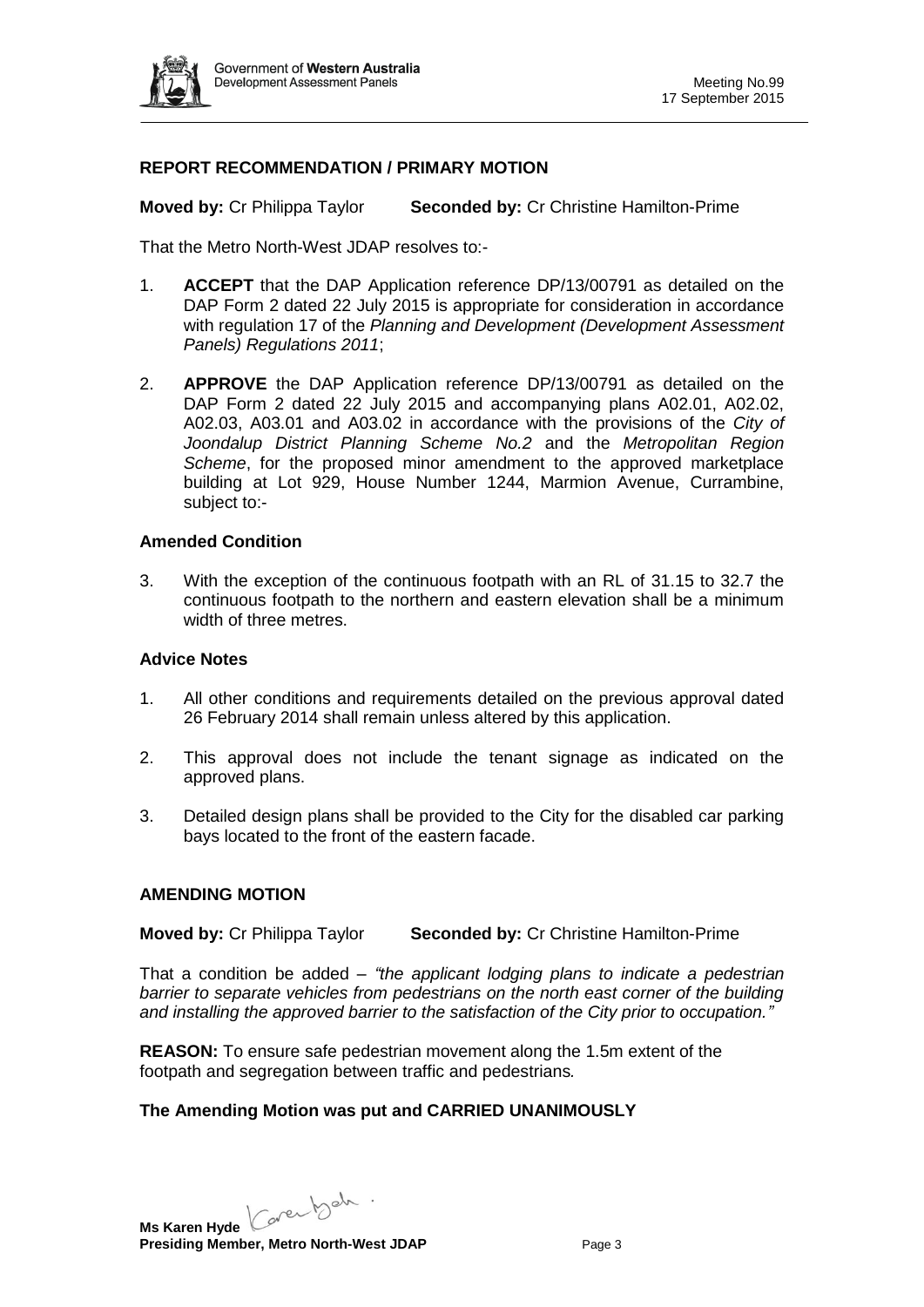

### **REPORT RECOMMENDATION / PRIMARY MOTION**

**Moved by:** Cr Philippa Taylor **Seconded by:** Cr Christine Hamilton-Prime

That the Metro North-West JDAP resolves to:-

- 1. **ACCEPT** that the DAP Application reference DP/13/00791 as detailed on the DAP Form 2 dated 22 July 2015 is appropriate for consideration in accordance with regulation 17 of the *Planning and Development (Development Assessment Panels) Regulations 2011*;
- 2. **APPROVE** the DAP Application reference DP/13/00791 as detailed on the DAP Form 2 dated 22 July 2015 and accompanying plans A02.01, A02.02, A02.03, A03.01 and A03.02 in accordance with the provisions of the *City of Joondalup District Planning Scheme No.2* and the *Metropolitan Region Scheme*, for the proposed minor amendment to the approved marketplace building at Lot 929, House Number 1244, Marmion Avenue, Currambine, subject to:-

### **Amended Condition**

3. With the exception of the continuous footpath with an RL of 31.15 to 32.7 the continuous footpath to the northern and eastern elevation shall be a minimum width of three metres.

#### **Advice Notes**

- 1. All other conditions and requirements detailed on the previous approval dated 26 February 2014 shall remain unless altered by this application.
- 2. This approval does not include the tenant signage as indicated on the approved plans.
- 3. Detailed design plans shall be provided to the City for the disabled car parking bays located to the front of the eastern facade.

#### **AMENDING MOTION**

**Moved by:** Cr Philippa Taylor **Seconded by:** Cr Christine Hamilton-Prime

That a condition be added – *"the applicant lodging plans to indicate a pedestrian barrier to separate vehicles from pedestrians on the north east corner of the building and installing the approved barrier to the satisfaction of the City prior to occupation."*

**REASON:** To ensure safe pedestrian movement along the 1.5m extent of the footpath and segregation between traffic and pedestrians*.*

## **The Amending Motion was put and CARRIED UNANIMOUSLY**

Ms Karen Hyde Caren b<sup>ah .</sup> **Presiding Member, Metro North-West JDAP** Page 3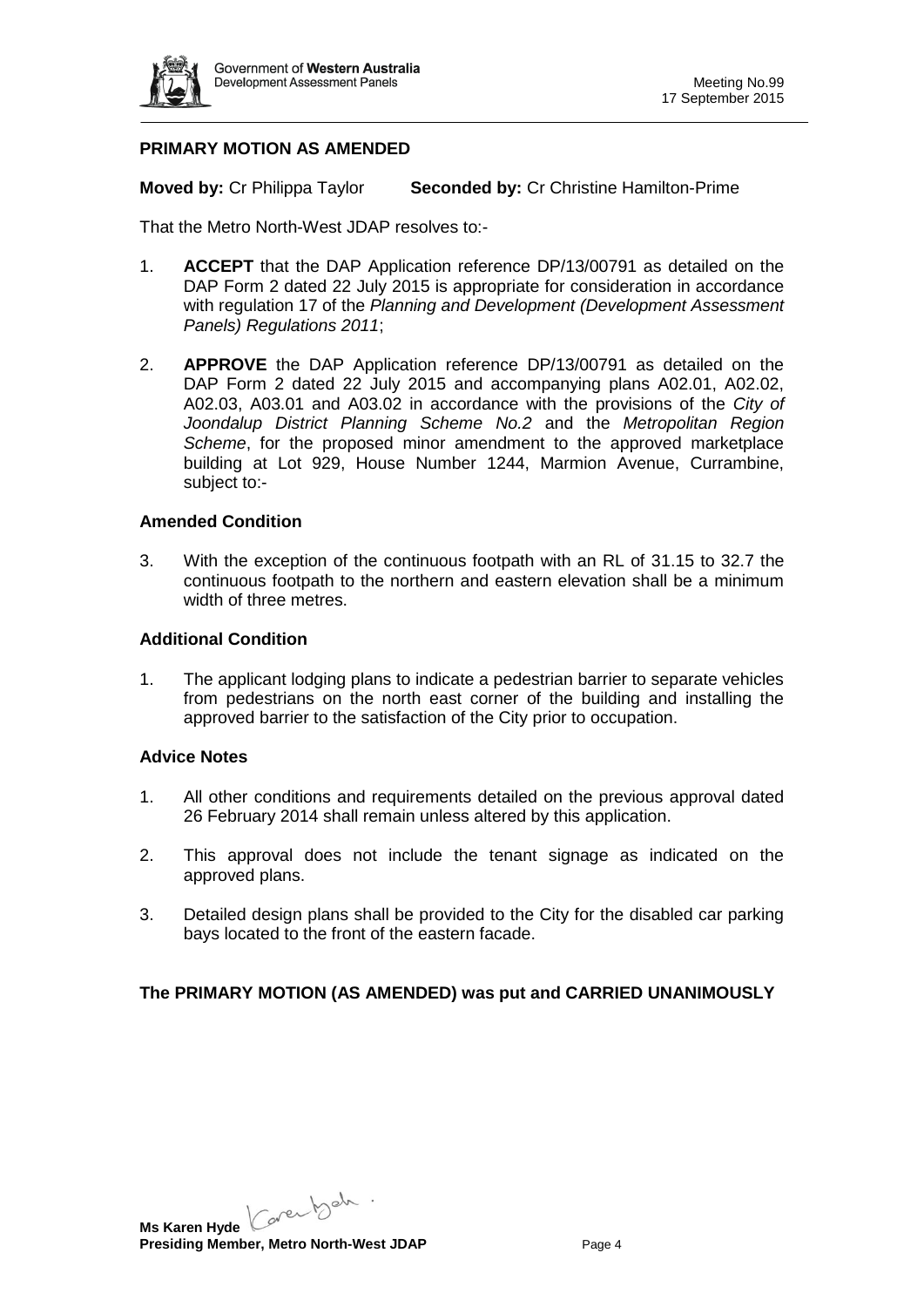

### **PRIMARY MOTION AS AMENDED**

**Moved by:** Cr Philippa Taylor **Seconded by:** Cr Christine Hamilton-Prime

That the Metro North-West JDAP resolves to:-

- 1. **ACCEPT** that the DAP Application reference DP/13/00791 as detailed on the DAP Form 2 dated 22 July 2015 is appropriate for consideration in accordance with regulation 17 of the *Planning and Development (Development Assessment Panels) Regulations 2011*;
- 2. **APPROVE** the DAP Application reference DP/13/00791 as detailed on the DAP Form 2 dated 22 July 2015 and accompanying plans A02.01, A02.02, A02.03, A03.01 and A03.02 in accordance with the provisions of the *City of Joondalup District Planning Scheme No.2* and the *Metropolitan Region Scheme*, for the proposed minor amendment to the approved marketplace building at Lot 929, House Number 1244, Marmion Avenue, Currambine, subject to:-

#### **Amended Condition**

3. With the exception of the continuous footpath with an RL of 31.15 to 32.7 the continuous footpath to the northern and eastern elevation shall be a minimum width of three metres.

#### **Additional Condition**

1. The applicant lodging plans to indicate a pedestrian barrier to separate vehicles from pedestrians on the north east corner of the building and installing the approved barrier to the satisfaction of the City prior to occupation.

#### **Advice Notes**

- 1. All other conditions and requirements detailed on the previous approval dated 26 February 2014 shall remain unless altered by this application.
- 2. This approval does not include the tenant signage as indicated on the approved plans.
- 3. Detailed design plans shall be provided to the City for the disabled car parking bays located to the front of the eastern facade.

## **The PRIMARY MOTION (AS AMENDED) was put and CARRIED UNANIMOUSLY**

Ms Karen Hyde Caren bah . **Presiding Member, Metro North-West JDAP** Page 4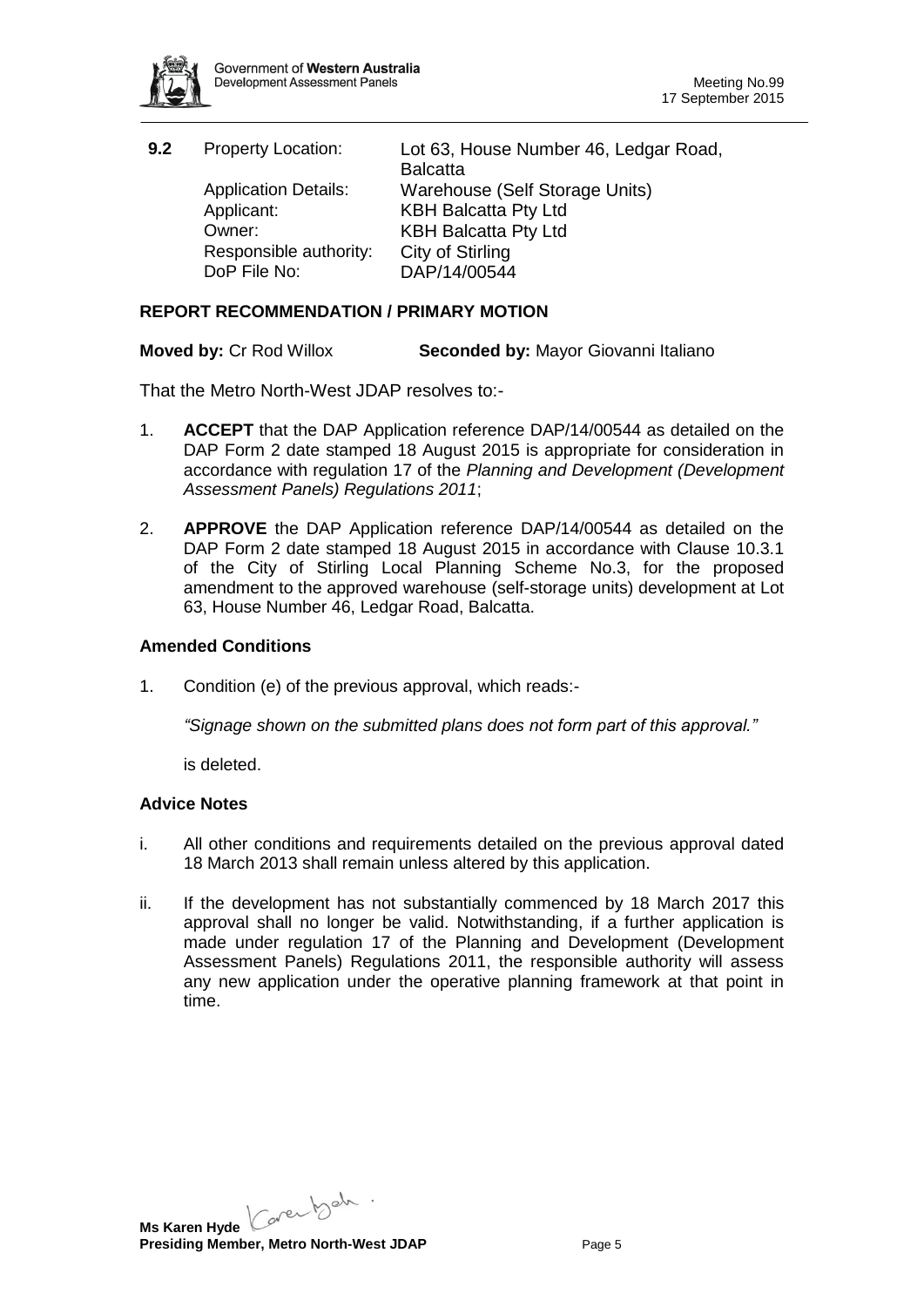

| 9.2 | <b>Property Location:</b>   | Lot 63, House Number 46, Ledgar Road, |
|-----|-----------------------------|---------------------------------------|
|     |                             | <b>Balcatta</b>                       |
|     | <b>Application Details:</b> | Warehouse (Self Storage Units)        |
|     | Applicant:                  | <b>KBH Balcatta Pty Ltd</b>           |
|     | Owner:                      | <b>KBH Balcatta Pty Ltd</b>           |
|     | Responsible authority:      | City of Stirling                      |
|     | DoP File No:                | DAP/14/00544                          |

### **REPORT RECOMMENDATION / PRIMARY MOTION**

**Moved by:** Cr Rod Willox **Seconded by:** Mayor Giovanni Italiano

That the Metro North-West JDAP resolves to:-

- 1. **ACCEPT** that the DAP Application reference DAP/14/00544 as detailed on the DAP Form 2 date stamped 18 August 2015 is appropriate for consideration in accordance with regulation 17 of the *Planning and Development (Development Assessment Panels) Regulations 2011*;
- 2. **APPROVE** the DAP Application reference DAP/14/00544 as detailed on the DAP Form 2 date stamped 18 August 2015 in accordance with Clause 10.3.1 of the City of Stirling Local Planning Scheme No.3, for the proposed amendment to the approved warehouse (self-storage units) development at Lot 63, House Number 46, Ledgar Road, Balcatta.

### **Amended Conditions**

1. Condition (e) of the previous approval, which reads:-

*"Signage shown on the submitted plans does not form part of this approval."*

is deleted.

#### **Advice Notes**

- i. All other conditions and requirements detailed on the previous approval dated 18 March 2013 shall remain unless altered by this application.
- ii. If the development has not substantially commenced by 18 March 2017 this approval shall no longer be valid. Notwithstanding, if a further application is made under regulation 17 of the Planning and Development (Development Assessment Panels) Regulations 2011, the responsible authority will assess any new application under the operative planning framework at that point in time.

Ms Karen Hyde Caren bah . **Presiding Member, Metro North-West JDAP** Page 5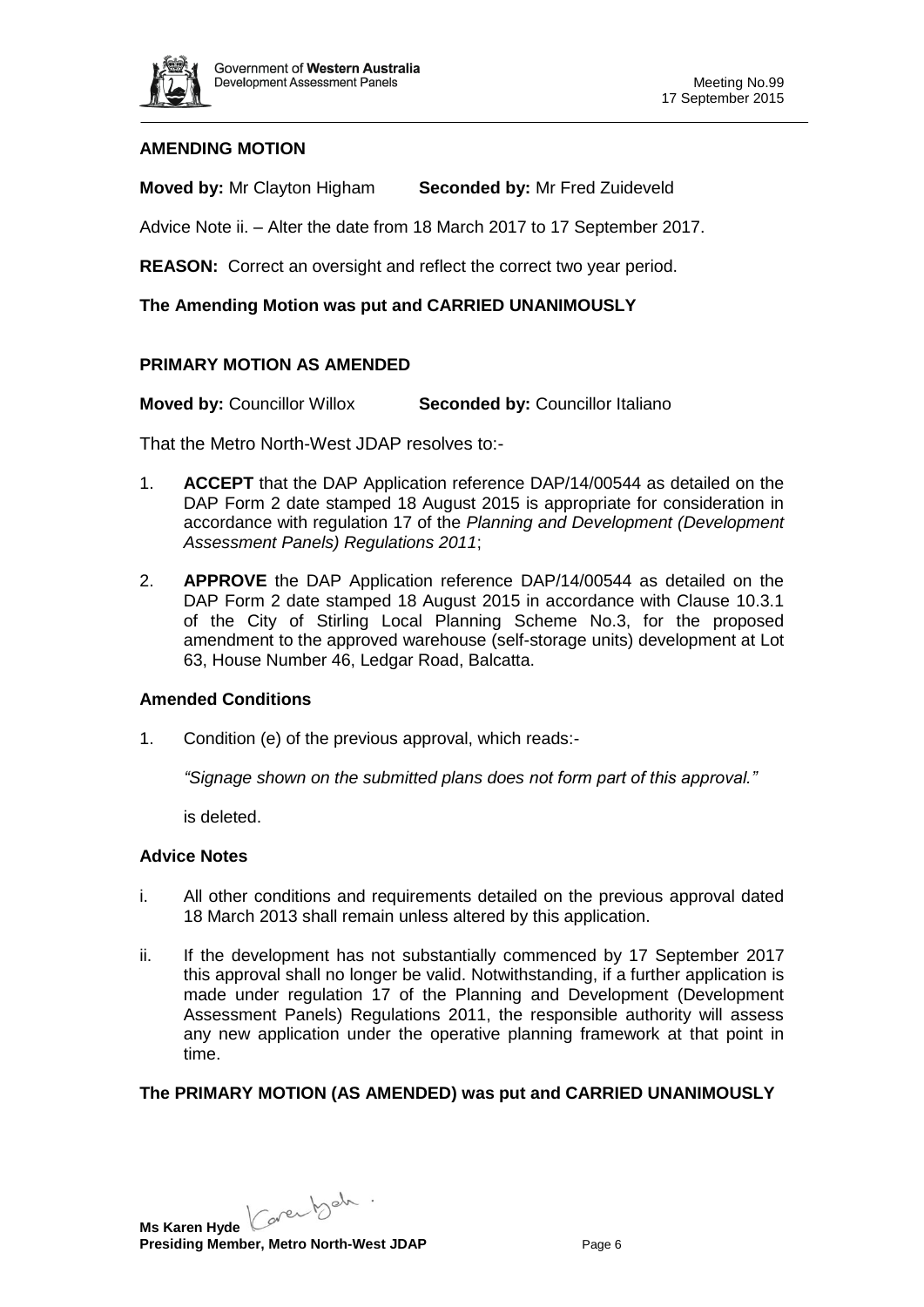

## **AMENDING MOTION**

**Moved by:** Mr Clayton Higham **Seconded by:** Mr Fred Zuideveld

Advice Note ii. – Alter the date from 18 March 2017 to 17 September 2017.

**REASON:** Correct an oversight and reflect the correct two year period.

#### **The Amending Motion was put and CARRIED UNANIMOUSLY**

### **PRIMARY MOTION AS AMENDED**

**Moved by:** Councillor Willox **Seconded by:** Councillor Italiano

That the Metro North-West JDAP resolves to:-

- 1. **ACCEPT** that the DAP Application reference DAP/14/00544 as detailed on the DAP Form 2 date stamped 18 August 2015 is appropriate for consideration in accordance with regulation 17 of the *Planning and Development (Development Assessment Panels) Regulations 2011*;
- 2. **APPROVE** the DAP Application reference DAP/14/00544 as detailed on the DAP Form 2 date stamped 18 August 2015 in accordance with Clause 10.3.1 of the City of Stirling Local Planning Scheme No.3, for the proposed amendment to the approved warehouse (self-storage units) development at Lot 63, House Number 46, Ledgar Road, Balcatta.

#### **Amended Conditions**

1. Condition (e) of the previous approval, which reads:-

*"Signage shown on the submitted plans does not form part of this approval."*

is deleted.

#### **Advice Notes**

- i. All other conditions and requirements detailed on the previous approval dated 18 March 2013 shall remain unless altered by this application.
- ii. If the development has not substantially commenced by 17 September 2017 this approval shall no longer be valid. Notwithstanding, if a further application is made under regulation 17 of the Planning and Development (Development Assessment Panels) Regulations 2011, the responsible authority will assess any new application under the operative planning framework at that point in time.

## **The PRIMARY MOTION (AS AMENDED) was put and CARRIED UNANIMOUSLY**

Ms Karen Hyde Caren b<sup>ah .</sup> **Presiding Member, Metro North-West JDAP** Page 6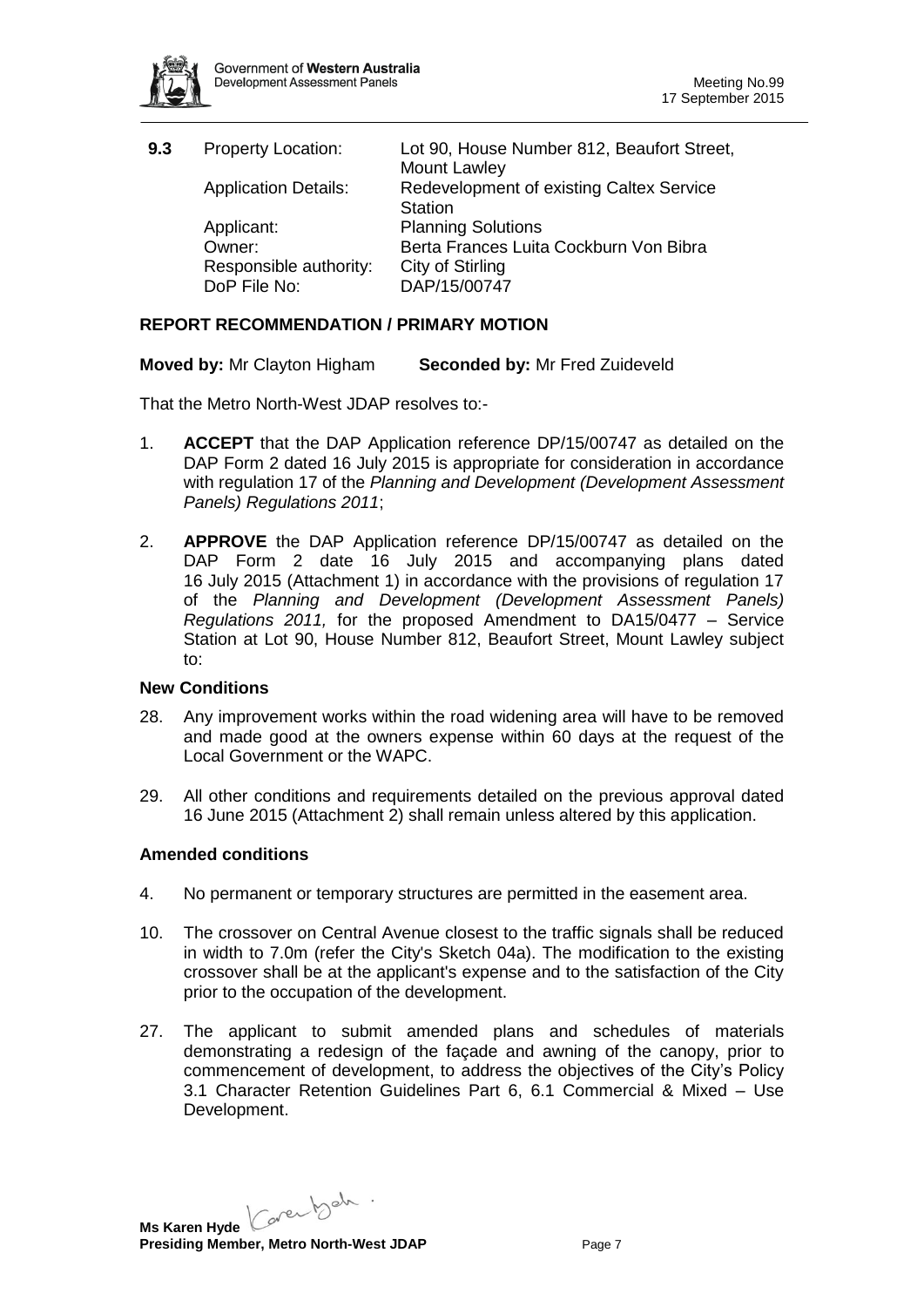

| 9.3 | <b>Property Location:</b>   | Lot 90, House Number 812, Beaufort Street,<br>Mount Lawley |
|-----|-----------------------------|------------------------------------------------------------|
|     | <b>Application Details:</b> | Redevelopment of existing Caltex Service                   |
|     |                             | Station                                                    |
|     | Applicant:                  | <b>Planning Solutions</b>                                  |
|     | Owner:                      | Berta Frances Luita Cockburn Von Bibra                     |
|     | Responsible authority:      | City of Stirling                                           |
|     | DoP File No:                | DAP/15/00747                                               |

### **REPORT RECOMMENDATION / PRIMARY MOTION**

**Moved by:** Mr Clayton Higham **Seconded by:** Mr Fred Zuideveld

That the Metro North-West JDAP resolves to:-

- 1. **ACCEPT** that the DAP Application reference DP/15/00747 as detailed on the DAP Form 2 dated 16 July 2015 is appropriate for consideration in accordance with regulation 17 of the *Planning and Development (Development Assessment Panels) Regulations 2011*;
- 2. **APPROVE** the DAP Application reference DP/15/00747 as detailed on the DAP Form 2 date 16 July 2015 and accompanying plans dated 16 July 2015 (Attachment 1) in accordance with the provisions of regulation 17 of the *Planning and Development (Development Assessment Panels) Regulations 2011,* for the proposed Amendment to DA15/0477 – Service Station at Lot 90, House Number 812, Beaufort Street, Mount Lawley subject to:

### **New Conditions**

- 28. Any improvement works within the road widening area will have to be removed and made good at the owners expense within 60 days at the request of the Local Government or the WAPC.
- 29. All other conditions and requirements detailed on the previous approval dated 16 June 2015 (Attachment 2) shall remain unless altered by this application.

#### **Amended conditions**

- 4. No permanent or temporary structures are permitted in the easement area.
- 10. The crossover on Central Avenue closest to the traffic signals shall be reduced in width to 7.0m (refer the City's Sketch 04a). The modification to the existing crossover shall be at the applicant's expense and to the satisfaction of the City prior to the occupation of the development.
- 27. The applicant to submit amended plans and schedules of materials demonstrating a redesign of the façade and awning of the canopy, prior to commencement of development, to address the objectives of the City's Policy 3.1 Character Retention Guidelines Part 6, 6.1 Commercial & Mixed – Use Development.

Ms Karen Hyde Caren bah .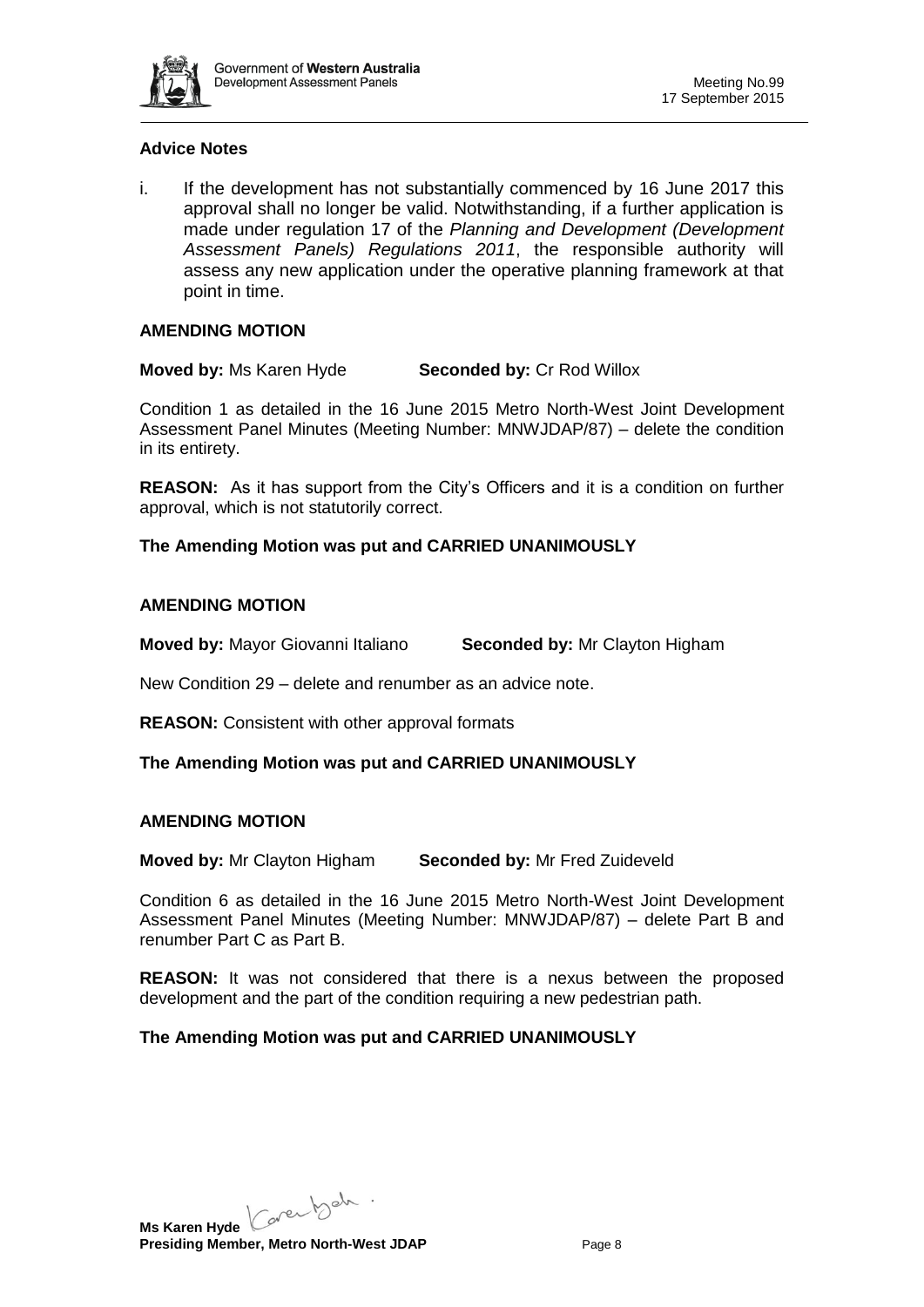

### **Advice Notes**

i. If the development has not substantially commenced by 16 June 2017 this approval shall no longer be valid. Notwithstanding, if a further application is made under regulation 17 of the *Planning and Development (Development Assessment Panels) Regulations 2011*, the responsible authority will assess any new application under the operative planning framework at that point in time.

#### **AMENDING MOTION**

**Moved by:** Ms Karen Hyde **Seconded by:** Cr Rod Willox

Condition 1 as detailed in the 16 June 2015 Metro North-West Joint Development Assessment Panel Minutes (Meeting Number: MNWJDAP/87) – delete the condition in its entirety.

**REASON:** As it has support from the City's Officers and it is a condition on further approval, which is not statutorily correct.

**The Amending Motion was put and CARRIED UNANIMOUSLY**

#### **AMENDING MOTION**

**Moved by:** Mayor Giovanni Italiano **Seconded by:** Mr Clayton Higham

New Condition 29 – delete and renumber as an advice note.

**REASON:** Consistent with other approval formats

**The Amending Motion was put and CARRIED UNANIMOUSLY**

#### **AMENDING MOTION**

**Moved by:** Mr Clayton Higham **Seconded by:** Mr Fred Zuideveld

Condition 6 as detailed in the 16 June 2015 Metro North-West Joint Development Assessment Panel Minutes (Meeting Number: MNWJDAP/87) – delete Part B and renumber Part C as Part B.

**REASON:** It was not considered that there is a nexus between the proposed development and the part of the condition requiring a new pedestrian path.

#### **The Amending Motion was put and CARRIED UNANIMOUSLY**

Ms Karen Hyde Caren bah . **Presiding Member, Metro North-West JDAP** Page 8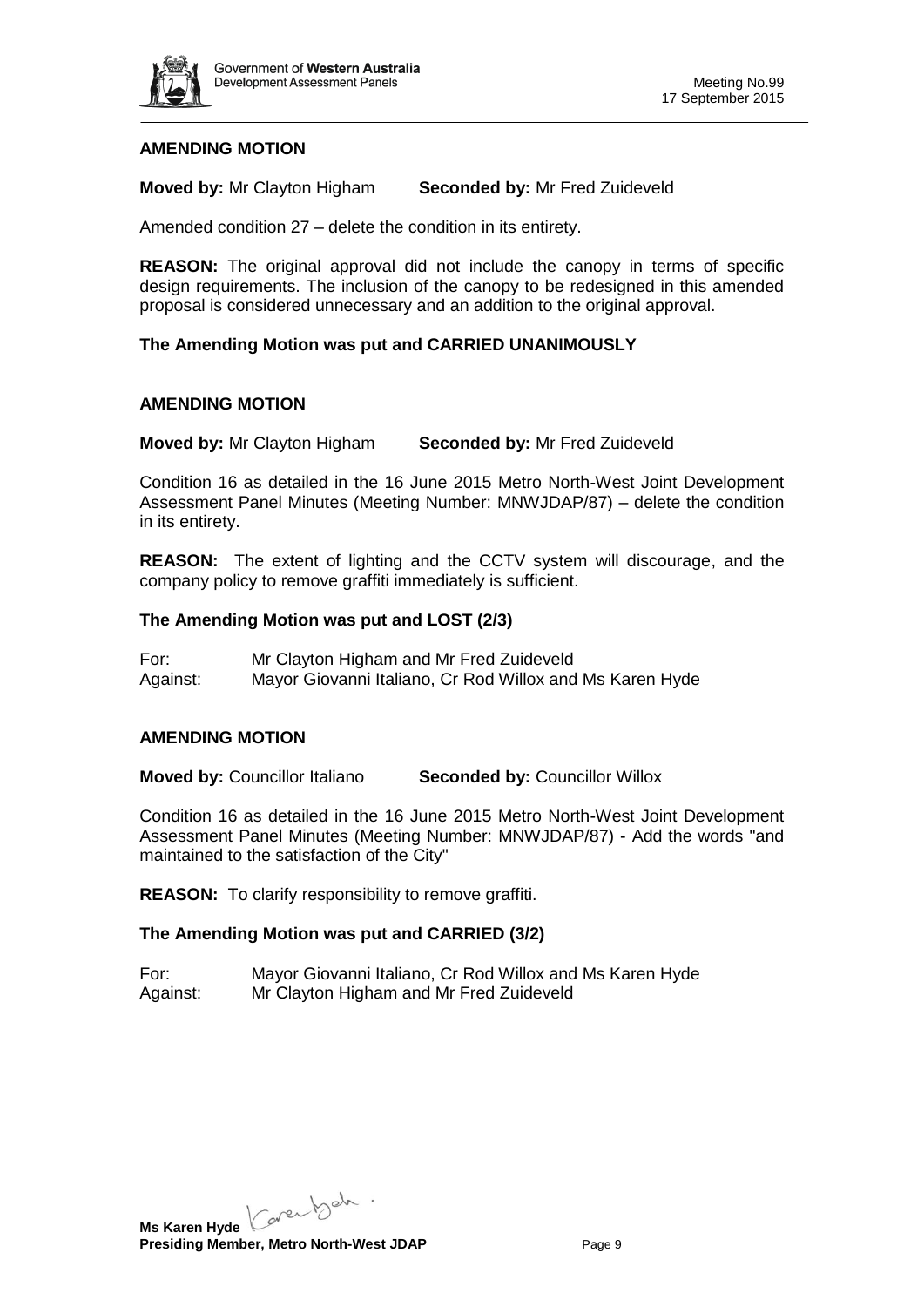

## **AMENDING MOTION**

**Moved by:** Mr Clayton Higham **Seconded by:** Mr Fred Zuideveld

Amended condition 27 – delete the condition in its entirety.

**REASON:** The original approval did not include the canopy in terms of specific design requirements. The inclusion of the canopy to be redesigned in this amended proposal is considered unnecessary and an addition to the original approval.

## **The Amending Motion was put and CARRIED UNANIMOUSLY**

## **AMENDING MOTION**

**Moved by:** Mr Clayton Higham **Seconded by:** Mr Fred Zuideveld

Condition 16 as detailed in the 16 June 2015 Metro North-West Joint Development Assessment Panel Minutes (Meeting Number: MNWJDAP/87) – delete the condition in its entirety.

**REASON:** The extent of lighting and the CCTV system will discourage, and the company policy to remove graffiti immediately is sufficient.

## **The Amending Motion was put and LOST (2/3)**

For: Mr Clayton Higham and Mr Fred Zuideveld Against: Mayor Giovanni Italiano, Cr Rod Willox and Ms Karen Hyde

## **AMENDING MOTION**

**Moved by:** Councillor Italiano **Seconded by:** Councillor Willox

Condition 16 as detailed in the 16 June 2015 Metro North-West Joint Development Assessment Panel Minutes (Meeting Number: MNWJDAP/87) - Add the words "and maintained to the satisfaction of the City"

**REASON:** To clarify responsibility to remove graffiti.

## **The Amending Motion was put and CARRIED (3/2)**

For: Mayor Giovanni Italiano, Cr Rod Willox and Ms Karen Hyde Against: Mr Clayton Higham and Mr Fred Zuideveld

Ms Karen Hyde Caren beh **Presiding Member, Metro North-West JDAP** Page 9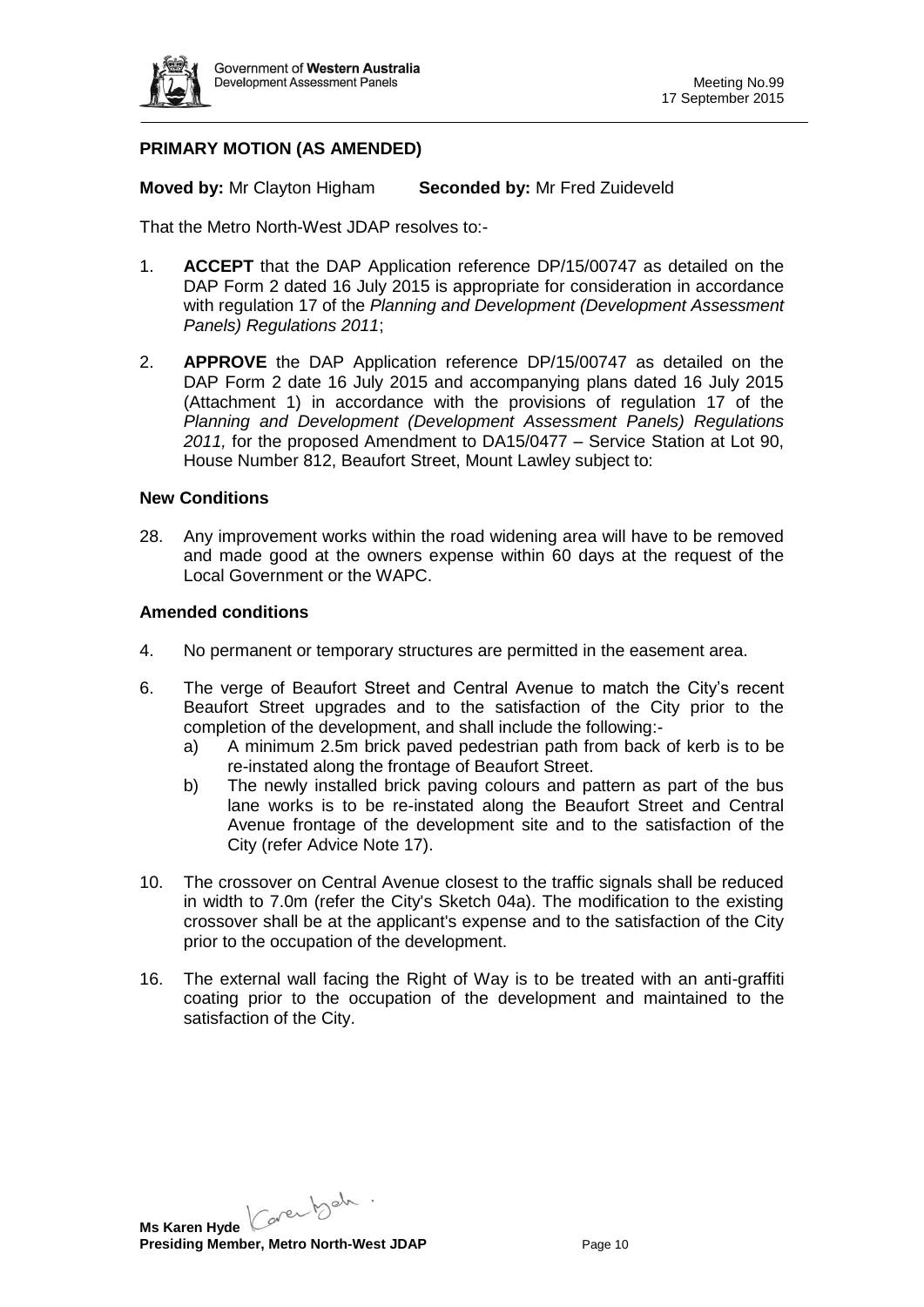

## **PRIMARY MOTION (AS AMENDED)**

**Moved by:** Mr Clayton Higham **Seconded by:** Mr Fred Zuideveld

That the Metro North-West JDAP resolves to:-

- 1. **ACCEPT** that the DAP Application reference DP/15/00747 as detailed on the DAP Form 2 dated 16 July 2015 is appropriate for consideration in accordance with regulation 17 of the *Planning and Development (Development Assessment Panels) Regulations 2011*;
- 2. **APPROVE** the DAP Application reference DP/15/00747 as detailed on the DAP Form 2 date 16 July 2015 and accompanying plans dated 16 July 2015 (Attachment 1) in accordance with the provisions of regulation 17 of the *Planning and Development (Development Assessment Panels) Regulations 2011,* for the proposed Amendment to DA15/0477 – Service Station at Lot 90, House Number 812, Beaufort Street, Mount Lawley subject to:

#### **New Conditions**

28. Any improvement works within the road widening area will have to be removed and made good at the owners expense within 60 days at the request of the Local Government or the WAPC.

#### **Amended conditions**

- 4. No permanent or temporary structures are permitted in the easement area.
- 6. The verge of Beaufort Street and Central Avenue to match the City's recent Beaufort Street upgrades and to the satisfaction of the City prior to the completion of the development, and shall include the following:
	- a) A minimum 2.5m brick paved pedestrian path from back of kerb is to be re-instated along the frontage of Beaufort Street.
	- b) The newly installed brick paving colours and pattern as part of the bus lane works is to be re-instated along the Beaufort Street and Central Avenue frontage of the development site and to the satisfaction of the City (refer Advice Note 17).
- 10. The crossover on Central Avenue closest to the traffic signals shall be reduced in width to 7.0m (refer the City's Sketch 04a). The modification to the existing crossover shall be at the applicant's expense and to the satisfaction of the City prior to the occupation of the development.
- 16. The external wall facing the Right of Way is to be treated with an anti-graffiti coating prior to the occupation of the development and maintained to the satisfaction of the City.

Ms Karen Hyde Caren bah . **Presiding Member, Metro North-West JDAP** Page 10